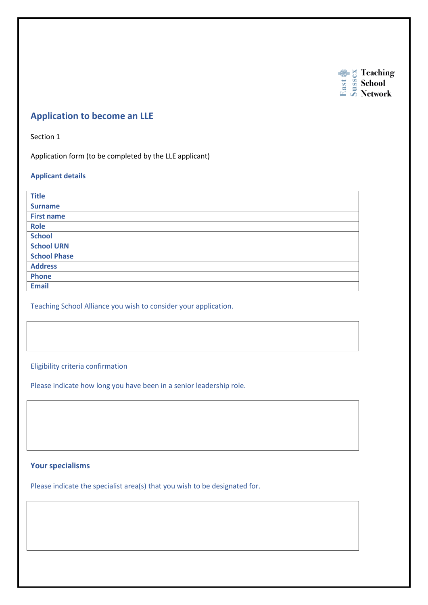

# **Application to become an LLE**

Section 1

Application form (to be completed by the LLE applicant)

### **Applicant details**

| <b>Title</b>        |  |
|---------------------|--|
| <b>Surname</b>      |  |
| <b>First name</b>   |  |
| <b>Role</b>         |  |
| <b>School</b>       |  |
| <b>School URN</b>   |  |
| <b>School Phase</b> |  |
| <b>Address</b>      |  |
| <b>Phone</b>        |  |
| <b>Email</b>        |  |

Teaching School Alliance you wish to consider your application.

## Eligibility criteria confirmation

Please indicate how long you have been in a senior leadership role.

# **Your specialisms**

Please indicate the specialist area(s) that you wish to be designated for.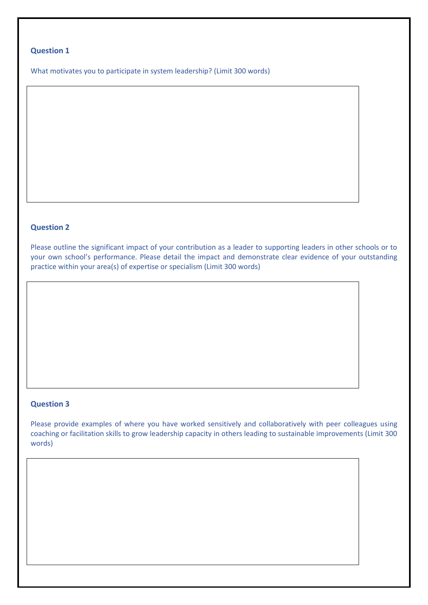# **Question 1**

What motivates you to participate in system leadership? (Limit 300 words)

# **Question 2**

Please outline the significant impact of your contribution as a leader to supporting leaders in other schools or to your own school's performance. Please detail the impact and demonstrate clear evidence of your outstanding practice within your area(s) of expertise or specialism (Limit 300 words)

## **Question 3**

Please provide examples of where you have worked sensitively and collaboratively with peer colleagues using coaching or facilitation skills to grow leadership capacity in others leading to sustainable improvements (Limit 300 words)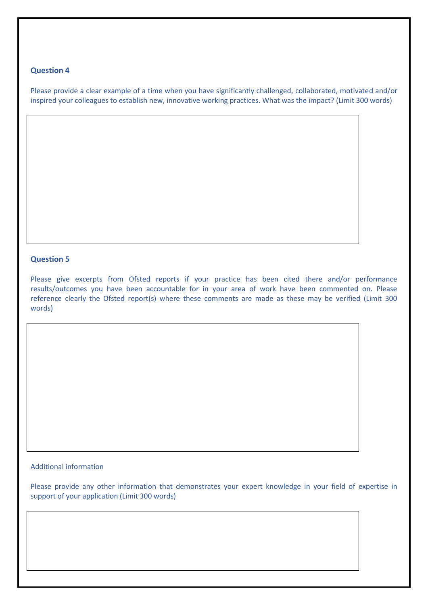### **Question 4**

Please provide a clear example of a time when you have significantly challenged, collaborated, motivated and/or inspired your colleagues to establish new, innovative working practices. What was the impact? (Limit 300 words)

#### **Question 5**

Please give excerpts from Ofsted reports if your practice has been cited there and/or performance results/outcomes you have been accountable for in your area of work have been commented on. Please reference clearly the Ofsted report(s) where these comments are made as these may be verified (Limit 300 words)

## Additional information

Please provide any other information that demonstrates your expert knowledge in your field of expertise in support of your application (Limit 300 words)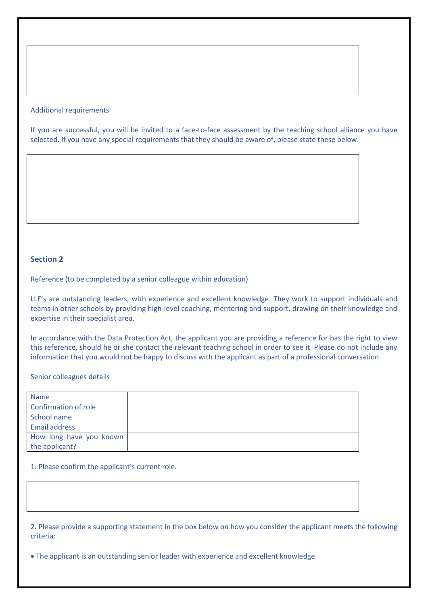#### Additional requirements

If you are successful, you will be invited to a face-to-face assessment by the teaching school alliance you have selected. If you have any special requirements that they should be aware of, please state these below.

## **Section 2**

Reference (to be completed by a senior colleague within education)

LLE's are outstanding leaders, with experience and excellent knowledge. They work to support individuals and teams in other schools by providing high-level coaching, mentoring and support, drawing on their knowledge and expertise in their specialist area.

In accordance with the Data Protection Act, the applicant you are providing a reference for has the right to view this reference, should he or she contact the relevant teaching school in order to see it. Please do not include any information that you would not be happy to discuss with the applicant as part of a professional conversation.

Senior colleagues details

| <b>Name</b>                 |  |
|-----------------------------|--|
| <b>Confirmation of role</b> |  |
| School name                 |  |
| Email address               |  |
| How long have you known     |  |
| the applicant?              |  |

1. Please confirm the applicant's current role.

2. Please provide a supporting statement in the box below on how you consider the applicant meets the following criteria:

The applicant is an outstanding senior leader with experience and excellent knowledge.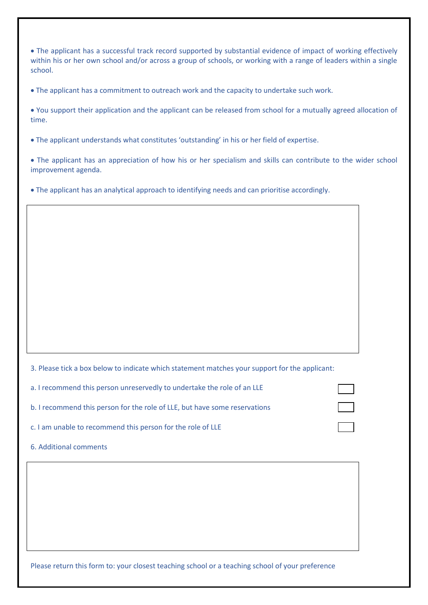The applicant has a successful track record supported by substantial evidence of impact of working effectively within his or her own school and/or across a group of schools, or working with a range of leaders within a single school.

The applicant has a commitment to outreach work and the capacity to undertake such work.

 You support their application and the applicant can be released from school for a mutually agreed allocation of time.

The applicant understands what constitutes 'outstanding' in his or her field of expertise.

 The applicant has an appreciation of how his or her specialism and skills can contribute to the wider school improvement agenda.

The applicant has an analytical approach to identifying needs and can prioritise accordingly.

3. Please tick a box below to indicate which statement matches your support for the applicant:

| a. I recommend this person unreservedly to undertake the role of an LLE    |  |
|----------------------------------------------------------------------------|--|
| b. I recommend this person for the role of LLE, but have some reservations |  |
| c. I am unable to recommend this person for the role of LLE                |  |

6. Additional comments

Please return this form to: your closest teaching school or a teaching school of your preference